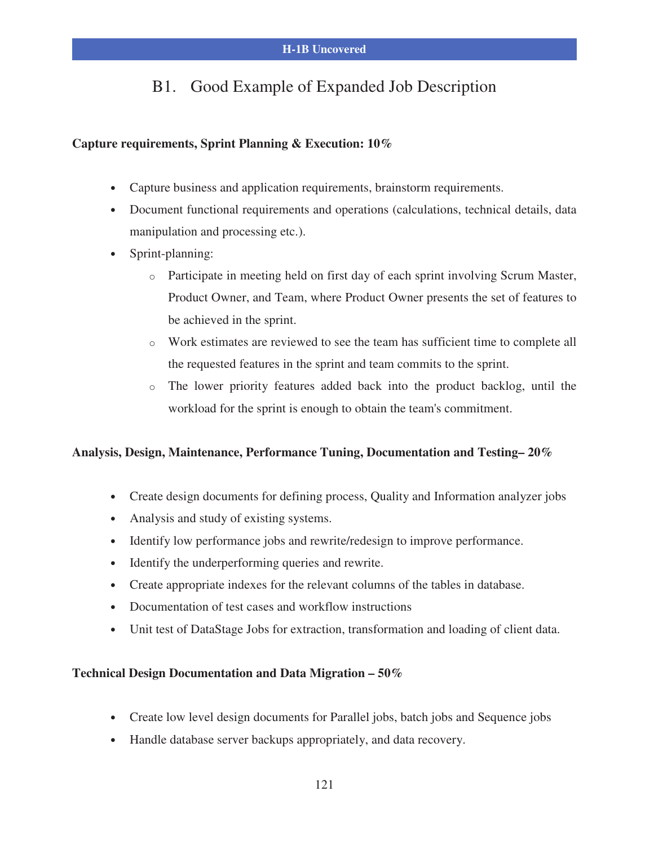## B1. Good Example of Expanded Job Description

#### **Capture requirements, Sprint Planning & Execution: 10%**

- Capture business and application requirements, brainstorm requirements.
- Document functional requirements and operations (calculations, technical details, data manipulation and processing etc.).
- Sprint-planning:
	- o Participate in meeting held on first day of each sprint involving Scrum Master, Product Owner, and Team, where Product Owner presents the set of features to be achieved in the sprint.
	- o Work estimates are reviewed to see the team has sufficient time to complete all the requested features in the sprint and team commits to the sprint.
	- o The lower priority features added back into the product backlog, until the workload for the sprint is enough to obtain the team's commitment.

#### **Analysis, Design, Maintenance, Performance Tuning, Documentation and Testing– 20%**

- Create design documents for defining process, Quality and Information analyzer jobs
- Analysis and study of existing systems.
- Identify low performance jobs and rewrite/redesign to improve performance.
- Identify the underperforming queries and rewrite.
- Create appropriate indexes for the relevant columns of the tables in database.
- Documentation of test cases and workflow instructions
- Unit test of DataStage Jobs for extraction, transformation and loading of client data.

#### **Technical Design Documentation and Data Migration – 50%**

- Create low level design documents for Parallel jobs, batch jobs and Sequence jobs
- Handle database server backups appropriately, and data recovery.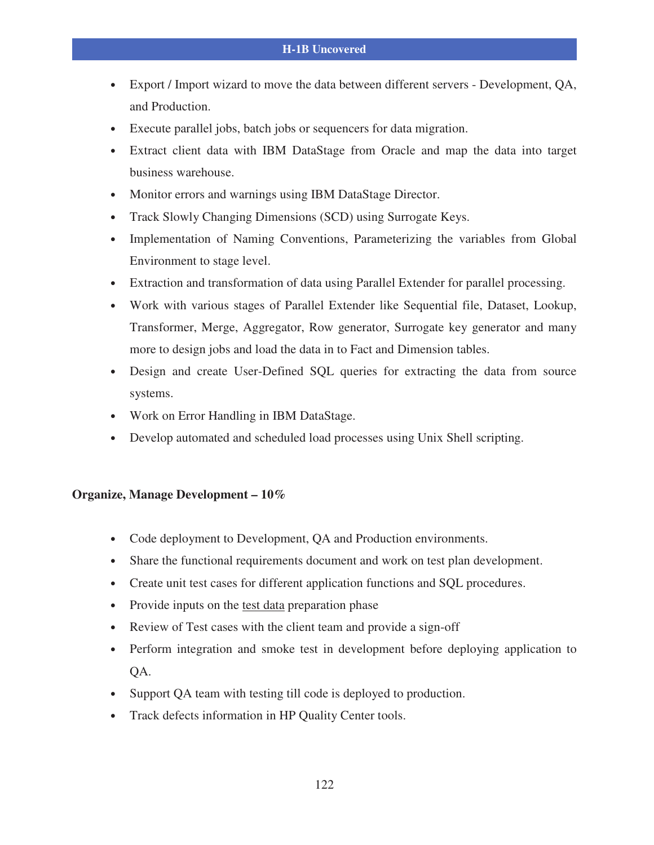- Export / Import wizard to move the data between different servers Development, QA, and Production.
- Execute parallel jobs, batch jobs or sequencers for data migration.
- Extract client data with IBM DataStage from Oracle and map the data into target business warehouse.
- Monitor errors and warnings using IBM DataStage Director.
- Track Slowly Changing Dimensions (SCD) using Surrogate Keys.
- Implementation of Naming Conventions, Parameterizing the variables from Global Environment to stage level.
- Extraction and transformation of data using Parallel Extender for parallel processing.
- Work with various stages of Parallel Extender like Sequential file, Dataset, Lookup, Transformer, Merge, Aggregator, Row generator, Surrogate key generator and many more to design jobs and load the data in to Fact and Dimension tables.
- Design and create User-Defined SQL queries for extracting the data from source systems.
- Work on Error Handling in IBM DataStage.
- Develop automated and scheduled load processes using Unix Shell scripting.

#### **Organize, Manage Development – 10%**

- Code deployment to Development, QA and Production environments.
- Share the functional requirements document and work on test plan development.
- Create unit test cases for different application functions and SQL procedures.
- Provide inputs on the test data preparation phase
- Review of Test cases with the client team and provide a sign-off
- Perform integration and smoke test in development before deploying application to QA.
- Support QA team with testing till code is deployed to production.
- Track defects information in HP Quality Center tools.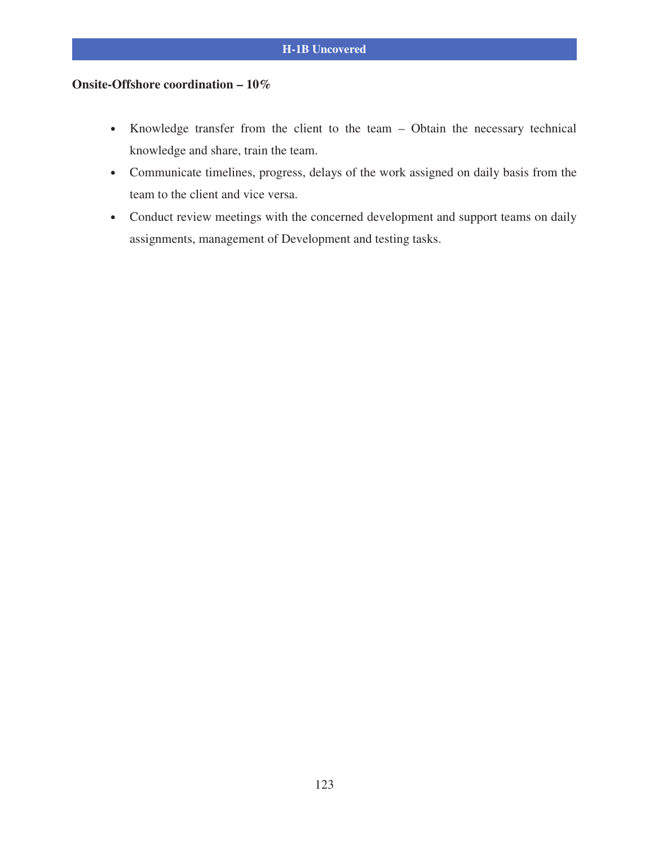### **Onsite-Offshore coordination – 10%**

- Knowledge transfer from the client to the team Obtain the necessary technical knowledge and share, train the team.
- Communicate timelines, progress, delays of the work assigned on daily basis from the team to the client and vice versa.
- Conduct review meetings with the concerned development and support teams on daily assignments, management of Development and testing tasks.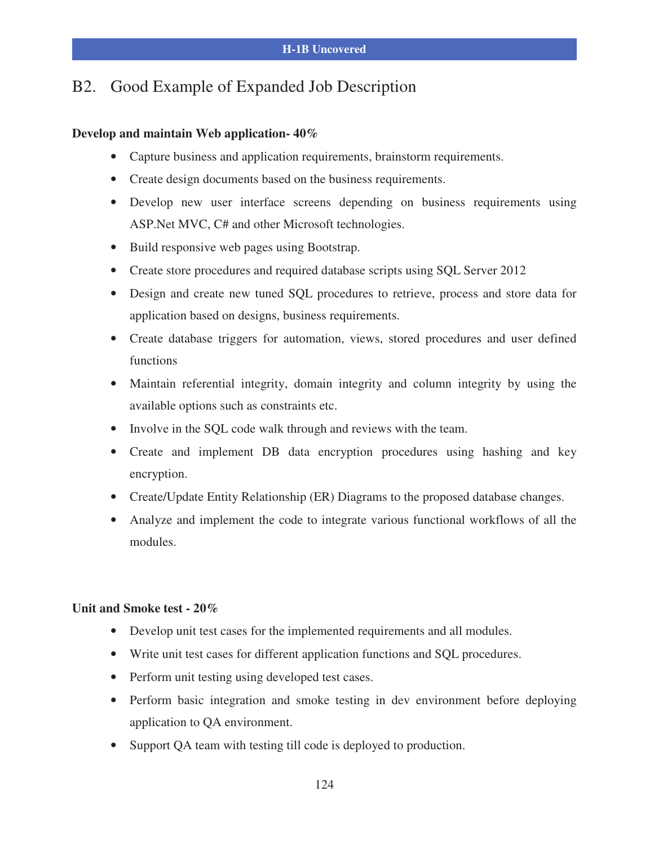### B2. Good Example of Expanded Job Description

#### **Develop and maintain Web application- 40%**

- Capture business and application requirements, brainstorm requirements.
- Create design documents based on the business requirements.
- Develop new user interface screens depending on business requirements using ASP.Net MVC, C# and other Microsoft technologies.
- Build responsive web pages using Bootstrap.
- Create store procedures and required database scripts using SQL Server 2012
- Design and create new tuned SQL procedures to retrieve, process and store data for application based on designs, business requirements.
- Create database triggers for automation, views, stored procedures and user defined functions
- Maintain referential integrity, domain integrity and column integrity by using the available options such as constraints etc.
- Involve in the SQL code walk through and reviews with the team.
- Create and implement DB data encryption procedures using hashing and key encryption.
- Create/Update Entity Relationship (ER) Diagrams to the proposed database changes.
- Analyze and implement the code to integrate various functional workflows of all the modules.

#### **Unit and Smoke test - 20%**

- Develop unit test cases for the implemented requirements and all modules.
- Write unit test cases for different application functions and SQL procedures.
- Perform unit testing using developed test cases.
- Perform basic integration and smoke testing in dev environment before deploying application to QA environment.
- Support QA team with testing till code is deployed to production.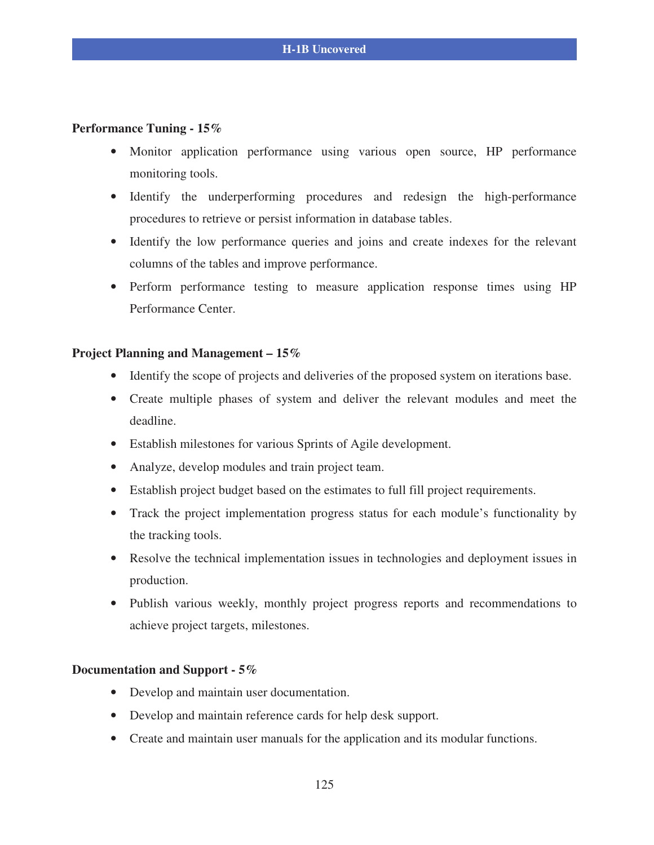#### **Performance Tuning - 15%**

- Monitor application performance using various open source, HP performance monitoring tools.
- Identify the underperforming procedures and redesign the high-performance procedures to retrieve or persist information in database tables.
- Identify the low performance queries and joins and create indexes for the relevant columns of the tables and improve performance.
- Perform performance testing to measure application response times using HP Performance Center.

#### **Project Planning and Management – 15%**

- Identify the scope of projects and deliveries of the proposed system on iterations base.
- Create multiple phases of system and deliver the relevant modules and meet the deadline.
- Establish milestones for various Sprints of Agile development.
- Analyze, develop modules and train project team.
- Establish project budget based on the estimates to full fill project requirements.
- Track the project implementation progress status for each module's functionality by the tracking tools.
- Resolve the technical implementation issues in technologies and deployment issues in production.
- Publish various weekly, monthly project progress reports and recommendations to achieve project targets, milestones.

#### **Documentation and Support - 5%**

- Develop and maintain user documentation.
- Develop and maintain reference cards for help desk support.
- Create and maintain user manuals for the application and its modular functions.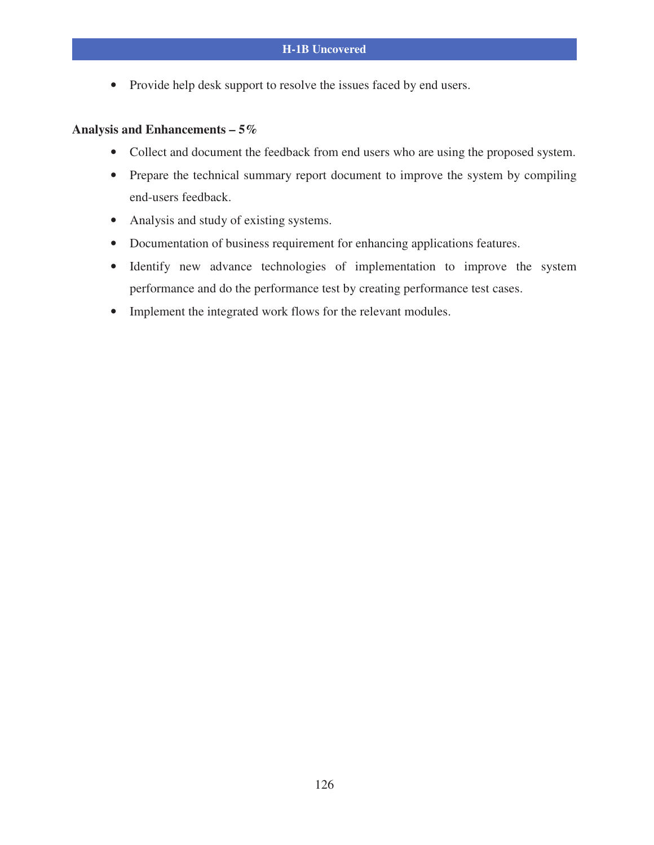• Provide help desk support to resolve the issues faced by end users.

#### **Analysis and Enhancements – 5%**

- Collect and document the feedback from end users who are using the proposed system.
- Prepare the technical summary report document to improve the system by compiling end-users feedback.
- Analysis and study of existing systems.
- Documentation of business requirement for enhancing applications features.
- Identify new advance technologies of implementation to improve the system performance and do the performance test by creating performance test cases.
- Implement the integrated work flows for the relevant modules.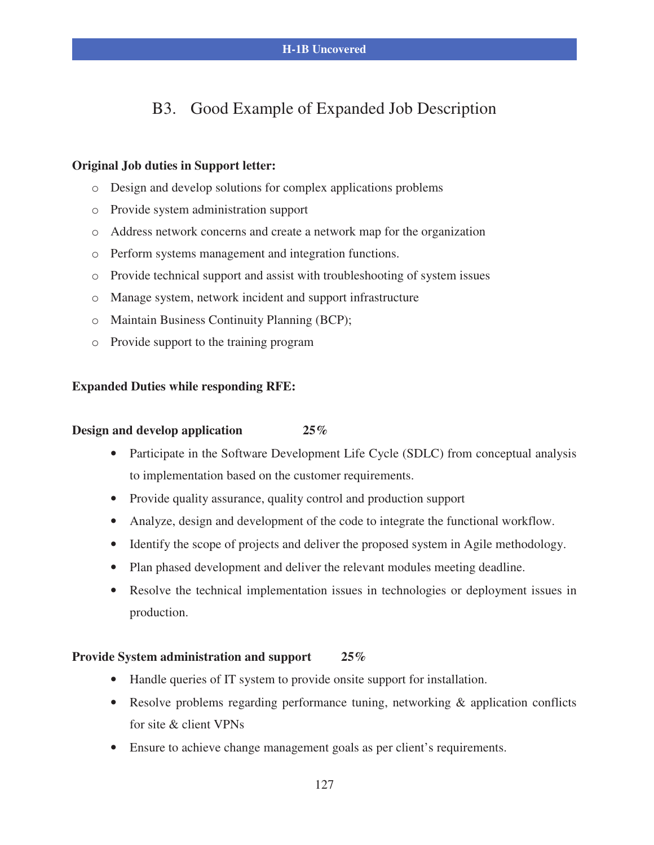### B3. Good Example of Expanded Job Description

#### **Original Job duties in Support letter:**

- o Design and develop solutions for complex applications problems
- o Provide system administration support
- o Address network concerns and create a network map for the organization
- o Perform systems management and integration functions.
- o Provide technical support and assist with troubleshooting of system issues
- o Manage system, network incident and support infrastructure
- o Maintain Business Continuity Planning (BCP);
- o Provide support to the training program

#### **Expanded Duties while responding RFE:**

#### **Design and develop application 25%**

- Participate in the Software Development Life Cycle (SDLC) from conceptual analysis to implementation based on the customer requirements.
- Provide quality assurance, quality control and production support
- Analyze, design and development of the code to integrate the functional workflow.
- Identify the scope of projects and deliver the proposed system in Agile methodology.
- Plan phased development and deliver the relevant modules meeting deadline.
- Resolve the technical implementation issues in technologies or deployment issues in production.

#### **Provide System administration and support 25%**

- Handle queries of IT system to provide onsite support for installation.
- Resolve problems regarding performance tuning, networking & application conflicts for site & client VPNs
- Ensure to achieve change management goals as per client's requirements.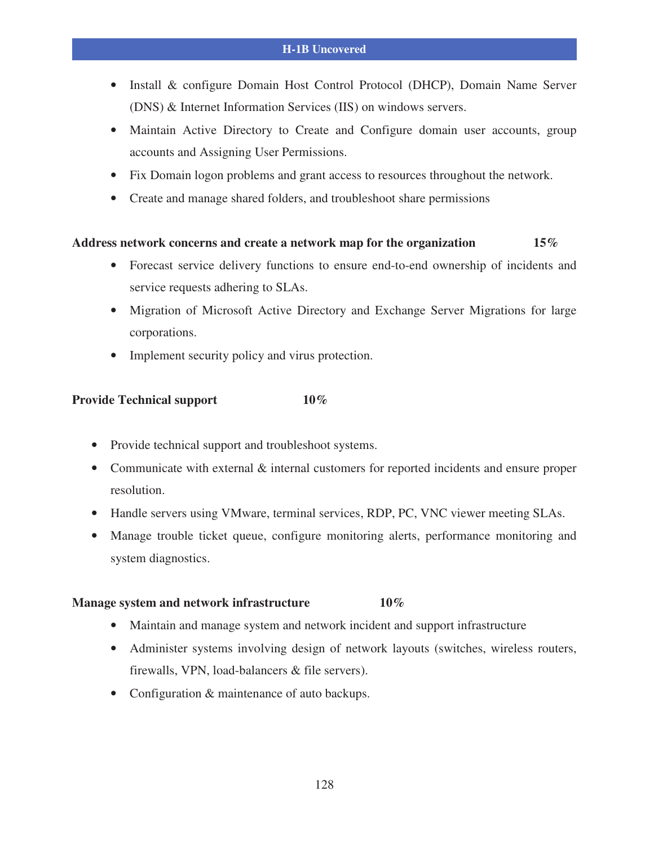- Install & configure Domain Host Control Protocol (DHCP), Domain Name Server (DNS) & Internet Information Services (IIS) on windows servers.
- Maintain Active Directory to Create and Configure domain user accounts, group accounts and Assigning User Permissions.
- Fix Domain logon problems and grant access to resources throughout the network.
- Create and manage shared folders, and troubleshoot share permissions

#### **Address network concerns and create a network map for the organization 15%**

- Forecast service delivery functions to ensure end-to-end ownership of incidents and service requests adhering to SLAs.
- Migration of Microsoft Active Directory and Exchange Server Migrations for large corporations.
- Implement security policy and virus protection.

#### **Provide Technical support 10%**

- Provide technical support and troubleshoot systems.
- Communicate with external & internal customers for reported incidents and ensure proper resolution.
- Handle servers using VMware, terminal services, RDP, PC, VNC viewer meeting SLAs.
- Manage trouble ticket queue, configure monitoring alerts, performance monitoring and system diagnostics.

#### **Manage system and network infrastructure 10%**

- Maintain and manage system and network incident and support infrastructure
- Administer systems involving design of network layouts (switches, wireless routers, firewalls, VPN, load-balancers & file servers).
- Configuration & maintenance of auto backups.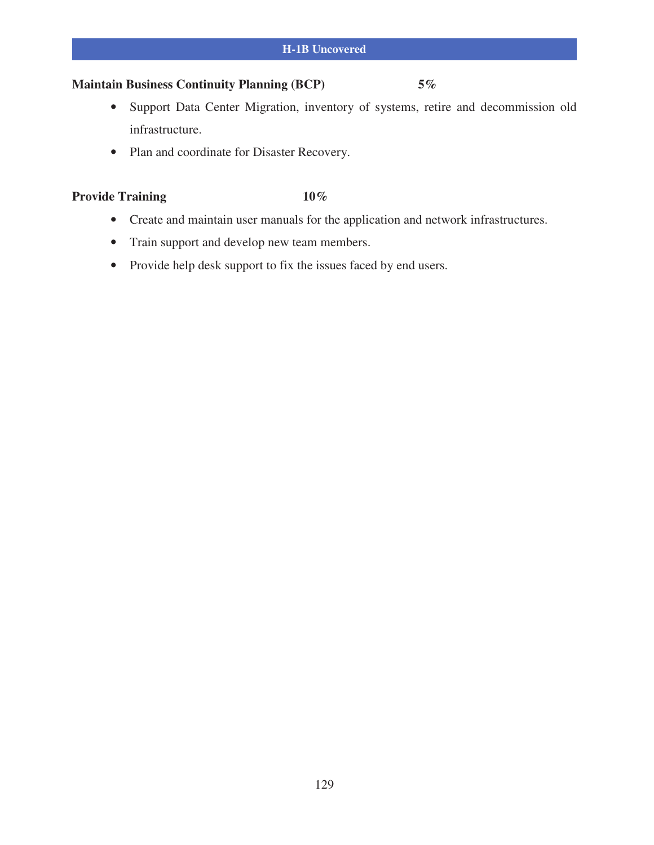### **Maintain Business Continuity Planning (BCP) 5%**

- Support Data Center Migration, inventory of systems, retire and decommission old infrastructure.
- Plan and coordinate for Disaster Recovery.

### Provide Training 10%

- Create and maintain user manuals for the application and network infrastructures.
- Train support and develop new team members.
- Provide help desk support to fix the issues faced by end users.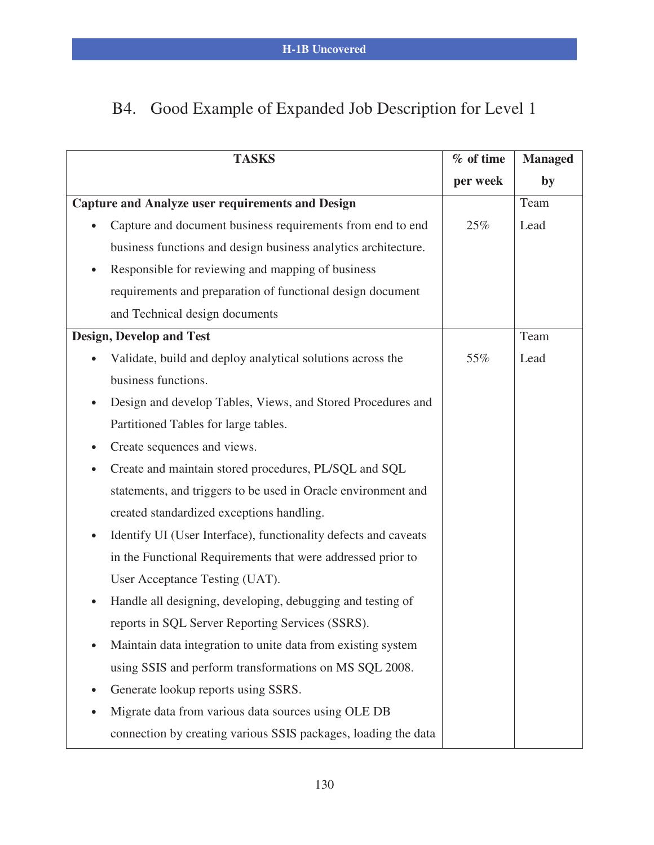# B4. Good Example of Expanded Job Description for Level 1

|           | <b>TASKS</b>                                                    | % of time | <b>Managed</b> |
|-----------|-----------------------------------------------------------------|-----------|----------------|
|           |                                                                 | per week  | by             |
|           | <b>Capture and Analyze user requirements and Design</b>         |           | Team           |
| $\bullet$ | Capture and document business requirements from end to end      | 25%       | Lead           |
|           | business functions and design business analytics architecture.  |           |                |
| $\bullet$ | Responsible for reviewing and mapping of business               |           |                |
|           | requirements and preparation of functional design document      |           |                |
|           | and Technical design documents                                  |           |                |
|           | <b>Design, Develop and Test</b>                                 |           | Team           |
| $\bullet$ | Validate, build and deploy analytical solutions across the      | 55%       | Lead           |
|           | business functions.                                             |           |                |
| $\bullet$ | Design and develop Tables, Views, and Stored Procedures and     |           |                |
|           | Partitioned Tables for large tables.                            |           |                |
| ٠         | Create sequences and views.                                     |           |                |
|           | Create and maintain stored procedures, PL/SQL and SQL           |           |                |
|           | statements, and triggers to be used in Oracle environment and   |           |                |
|           | created standardized exceptions handling.                       |           |                |
| $\bullet$ | Identify UI (User Interface), functionality defects and caveats |           |                |
|           | in the Functional Requirements that were addressed prior to     |           |                |
|           | User Acceptance Testing (UAT).                                  |           |                |
| $\bullet$ | Handle all designing, developing, debugging and testing of      |           |                |
|           | reports in SQL Server Reporting Services (SSRS).                |           |                |
|           | Maintain data integration to unite data from existing system    |           |                |
|           | using SSIS and perform transformations on MS SQL 2008.          |           |                |
| $\bullet$ | Generate lookup reports using SSRS.                             |           |                |
|           | Migrate data from various data sources using OLE DB             |           |                |
|           | connection by creating various SSIS packages, loading the data  |           |                |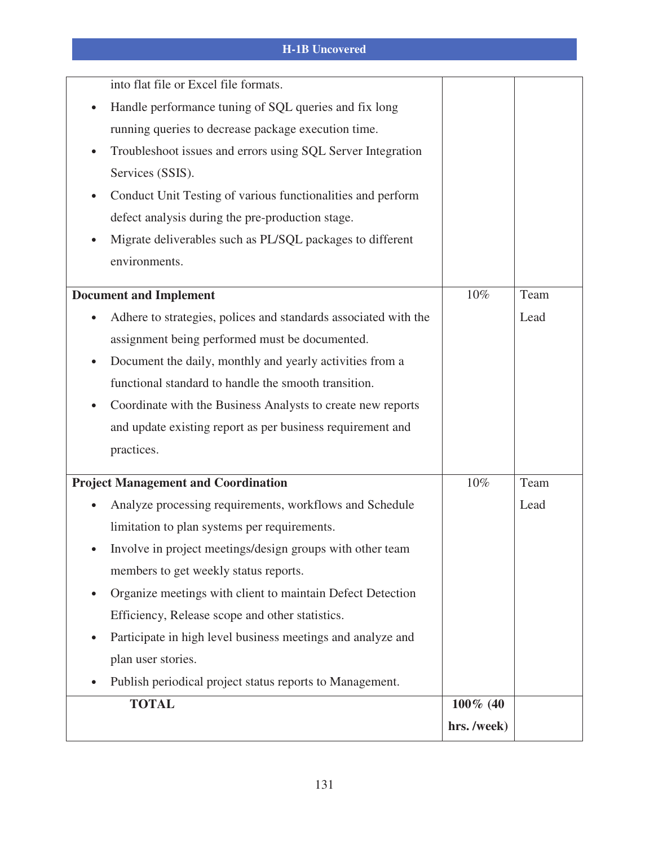| into flat file or Excel file formats.                                        |             |      |
|------------------------------------------------------------------------------|-------------|------|
| Handle performance tuning of SQL queries and fix long                        |             |      |
| running queries to decrease package execution time.                          |             |      |
| Troubleshoot issues and errors using SQL Server Integration                  |             |      |
| Services (SSIS).                                                             |             |      |
| Conduct Unit Testing of various functionalities and perform<br>$\bullet$     |             |      |
| defect analysis during the pre-production stage.                             |             |      |
| Migrate deliverables such as PL/SQL packages to different                    |             |      |
| environments.                                                                |             |      |
| <b>Document and Implement</b>                                                | 10%         | Team |
|                                                                              |             |      |
| Adhere to strategies, polices and standards associated with the<br>$\bullet$ |             | Lead |
| assignment being performed must be documented.                               |             |      |
| Document the daily, monthly and yearly activities from a                     |             |      |
| functional standard to handle the smooth transition.                         |             |      |
| Coordinate with the Business Analysts to create new reports                  |             |      |
| and update existing report as per business requirement and                   |             |      |
| practices.                                                                   |             |      |
| <b>Project Management and Coordination</b>                                   | 10%         | Team |
| Analyze processing requirements, workflows and Schedule                      |             | Lead |
| limitation to plan systems per requirements.                                 |             |      |
| Involve in project meetings/design groups with other team                    |             |      |
| members to get weekly status reports.                                        |             |      |
| Organize meetings with client to maintain Defect Detection                   |             |      |
| Efficiency, Release scope and other statistics.                              |             |      |
| Participate in high level business meetings and analyze and                  |             |      |
| plan user stories.                                                           |             |      |
| Publish periodical project status reports to Management.                     |             |      |
|                                                                              |             |      |
| <b>TOTAL</b>                                                                 | $100\%$ (40 |      |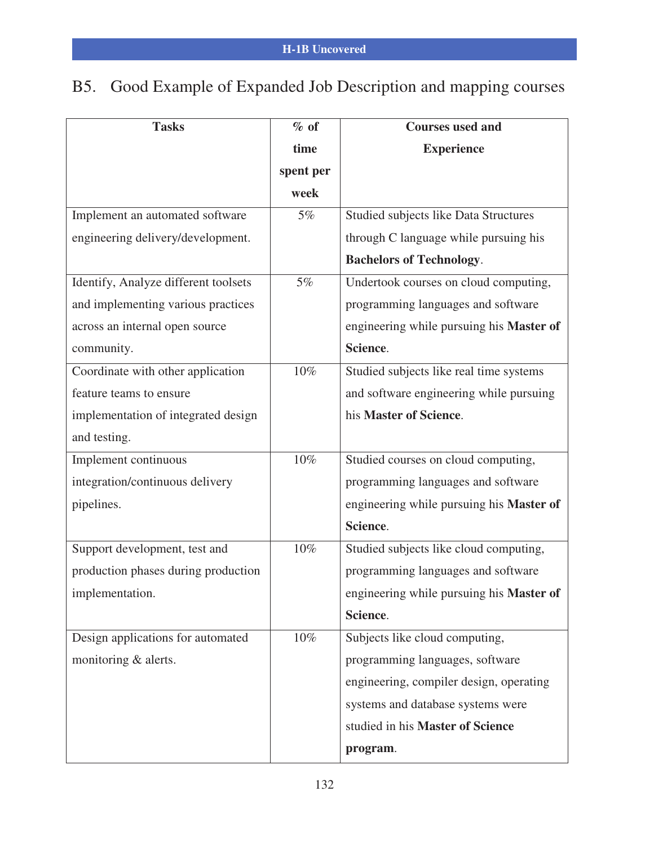# B5. Good Example of Expanded Job Description and mapping courses

| <b>Tasks</b>                         | $%$ of    | <b>Courses used and</b>                  |
|--------------------------------------|-----------|------------------------------------------|
|                                      | time      | <b>Experience</b>                        |
|                                      | spent per |                                          |
|                                      | week      |                                          |
| Implement an automated software      | $5\%$     | Studied subjects like Data Structures    |
| engineering delivery/development.    |           | through C language while pursuing his    |
|                                      |           | <b>Bachelors of Technology.</b>          |
| Identify, Analyze different toolsets | 5%        | Undertook courses on cloud computing,    |
| and implementing various practices   |           | programming languages and software       |
| across an internal open source       |           | engineering while pursuing his Master of |
| community.                           |           | Science.                                 |
| Coordinate with other application    | $10\%$    | Studied subjects like real time systems  |
| feature teams to ensure              |           | and software engineering while pursuing  |
| implementation of integrated design  |           | his Master of Science.                   |
| and testing.                         |           |                                          |
| Implement continuous                 | $10\%$    | Studied courses on cloud computing,      |
| integration/continuous delivery      |           | programming languages and software       |
| pipelines.                           |           | engineering while pursuing his Master of |
|                                      |           | Science.                                 |
| Support development, test and        | 10%       | Studied subjects like cloud computing,   |
| production phases during production  |           | programming languages and software       |
| implementation.                      |           | engineering while pursuing his Master of |
|                                      |           | Science.                                 |
| Design applications for automated    | 10%       | Subjects like cloud computing,           |
| monitoring & alerts.                 |           | programming languages, software          |
|                                      |           | engineering, compiler design, operating  |
|                                      |           | systems and database systems were        |
|                                      |           | studied in his Master of Science         |
|                                      |           | program.                                 |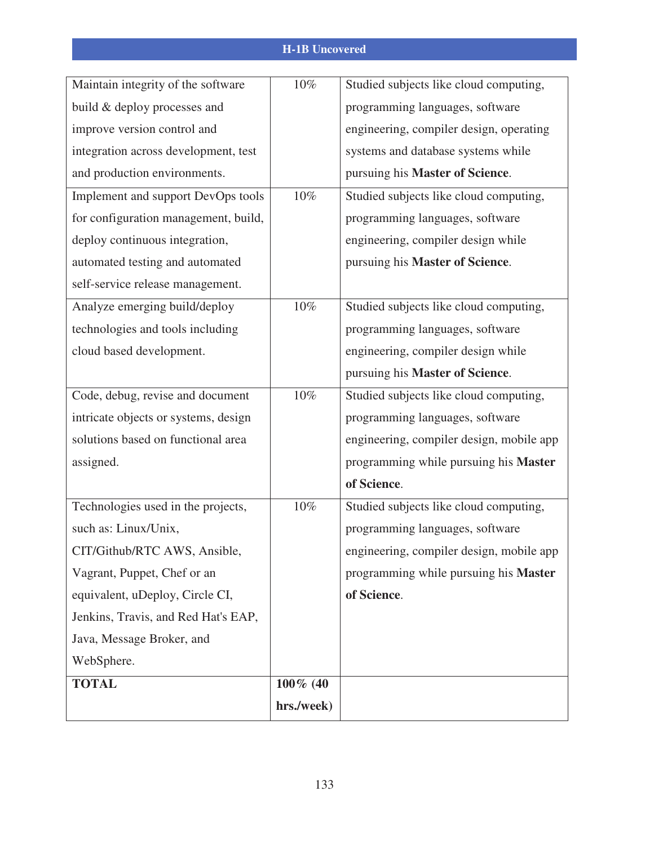| Maintain integrity of the software   | $10\%$     | Studied subjects like cloud computing,   |
|--------------------------------------|------------|------------------------------------------|
| build & deploy processes and         |            | programming languages, software          |
| improve version control and          |            | engineering, compiler design, operating  |
| integration across development, test |            | systems and database systems while       |
| and production environments.         |            | pursuing his Master of Science.          |
| Implement and support DevOps tools   | $10\%$     | Studied subjects like cloud computing,   |
| for configuration management, build, |            | programming languages, software          |
| deploy continuous integration,       |            | engineering, compiler design while       |
| automated testing and automated      |            | pursuing his Master of Science.          |
| self-service release management.     |            |                                          |
| Analyze emerging build/deploy        | $10\%$     | Studied subjects like cloud computing,   |
| technologies and tools including     |            | programming languages, software          |
| cloud based development.             |            | engineering, compiler design while       |
|                                      |            | pursuing his Master of Science.          |
| Code, debug, revise and document     | $10\%$     | Studied subjects like cloud computing,   |
| intricate objects or systems, design |            | programming languages, software          |
| solutions based on functional area   |            | engineering, compiler design, mobile app |
| assigned.                            |            | programming while pursuing his Master    |
|                                      |            | of Science.                              |
| Technologies used in the projects,   | $10\%$     | Studied subjects like cloud computing,   |
| such as: Linux/Unix,                 |            | programming languages, software          |
| CIT/Github/RTC AWS, Ansible,         |            | engineering, compiler design, mobile app |
| Vagrant, Puppet, Chef or an          |            | programming while pursuing his Master    |
| equivalent, uDeploy, Circle CI,      |            | of Science.                              |
| Jenkins, Travis, and Red Hat's EAP,  |            |                                          |
| Java, Message Broker, and            |            |                                          |
| WebSphere.                           |            |                                          |
| <b>TOTAL</b>                         | 100% (40   |                                          |
|                                      | hrs./week) |                                          |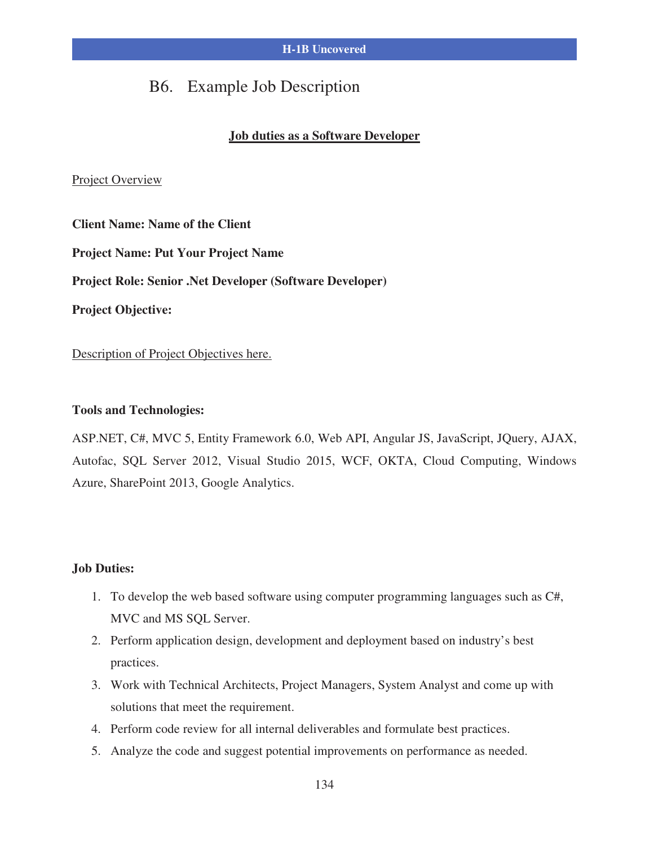### B6. Example Job Description

#### **Job duties as a Software Developer**

#### Project Overview

**Client Name: Name of the Client Project Name: Put Your Project Name Project Role: Senior .Net Developer (Software Developer) Project Objective:**

Description of Project Objectives here.

#### **Tools and Technologies:**

ASP.NET, C#, MVC 5, Entity Framework 6.0, Web API, Angular JS, JavaScript, JQuery, AJAX, Autofac, SQL Server 2012, Visual Studio 2015, WCF, OKTA, Cloud Computing, Windows Azure, SharePoint 2013, Google Analytics.

#### **Job Duties:**

- 1. To develop the web based software using computer programming languages such as C#, MVC and MS SQL Server.
- 2. Perform application design, development and deployment based on industry's best practices.
- 3. Work with Technical Architects, Project Managers, System Analyst and come up with solutions that meet the requirement.
- 4. Perform code review for all internal deliverables and formulate best practices.
- 5. Analyze the code and suggest potential improvements on performance as needed.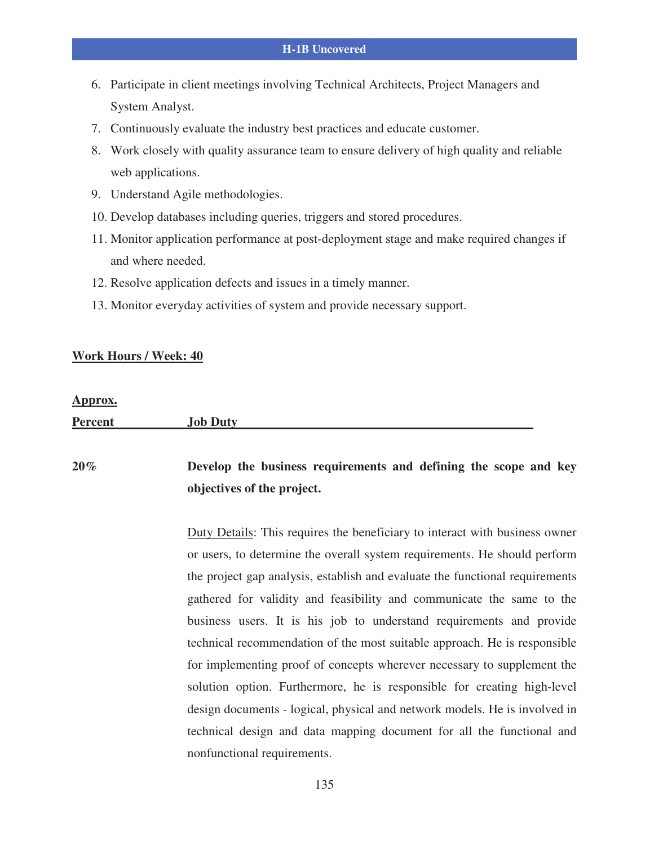- 6. Participate in client meetings involving Technical Architects, Project Managers and System Analyst.
- 7. Continuously evaluate the industry best practices and educate customer.
- 8. Work closely with quality assurance team to ensure delivery of high quality and reliable web applications.
- 9. Understand Agile methodologies.
- 10. Develop databases including queries, triggers and stored procedures.
- 11. Monitor application performance at post-deployment stage and make required changes if and where needed.
- 12. Resolve application defects and issues in a timely manner.
- 13. Monitor everyday activities of system and provide necessary support.

#### **Work Hours / Week: 40**

#### **Approx.**

| <b>Percent</b> | <b>Job Duty</b> |
|----------------|-----------------|
|                |                 |

### **20% Develop the business requirements and defining the scope and key objectives of the project.**

Duty Details: This requires the beneficiary to interact with business owner or users, to determine the overall system requirements. He should perform the project gap analysis, establish and evaluate the functional requirements gathered for validity and feasibility and communicate the same to the business users. It is his job to understand requirements and provide technical recommendation of the most suitable approach. He is responsible for implementing proof of concepts wherever necessary to supplement the solution option. Furthermore, he is responsible for creating high-level design documents - logical, physical and network models. He is involved in technical design and data mapping document for all the functional and nonfunctional requirements.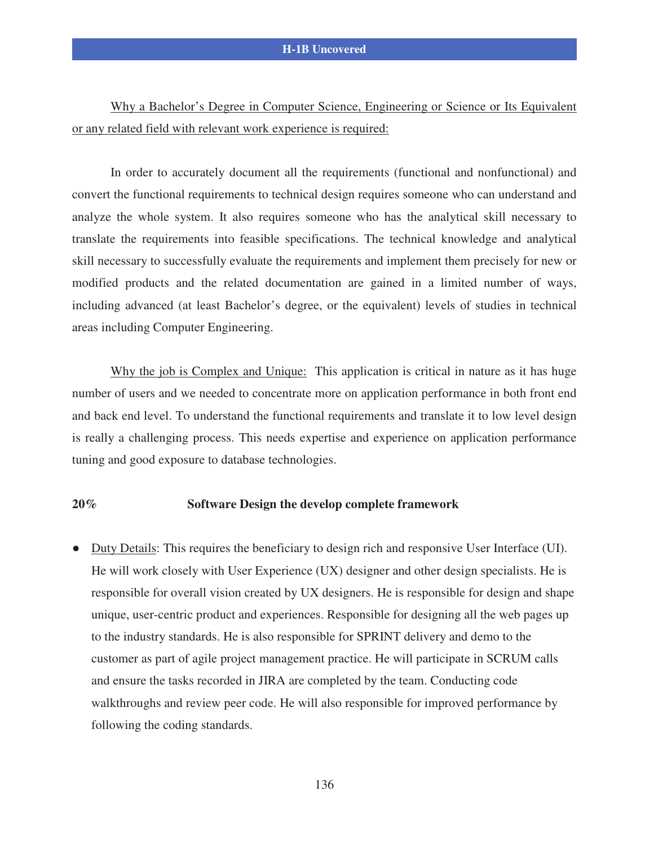Why a Bachelor's Degree in Computer Science, Engineering or Science or Its Equivalent or any related field with relevant work experience is required:

In order to accurately document all the requirements (functional and nonfunctional) and convert the functional requirements to technical design requires someone who can understand and analyze the whole system. It also requires someone who has the analytical skill necessary to translate the requirements into feasible specifications. The technical knowledge and analytical skill necessary to successfully evaluate the requirements and implement them precisely for new or modified products and the related documentation are gained in a limited number of ways, including advanced (at least Bachelor's degree, or the equivalent) levels of studies in technical areas including Computer Engineering.

Why the job is Complex and Unique: This application is critical in nature as it has huge number of users and we needed to concentrate more on application performance in both front end and back end level. To understand the functional requirements and translate it to low level design is really a challenging process. This needs expertise and experience on application performance tuning and good exposure to database technologies.

#### **20% Software Design the develop complete framework**

 Duty Details: This requires the beneficiary to design rich and responsive User Interface (UI). He will work closely with User Experience (UX) designer and other design specialists. He is responsible for overall vision created by UX designers. He is responsible for design and shape unique, user-centric product and experiences. Responsible for designing all the web pages up to the industry standards. He is also responsible for SPRINT delivery and demo to the customer as part of agile project management practice. He will participate in SCRUM calls and ensure the tasks recorded in JIRA are completed by the team. Conducting code walkthroughs and review peer code. He will also responsible for improved performance by following the coding standards.

136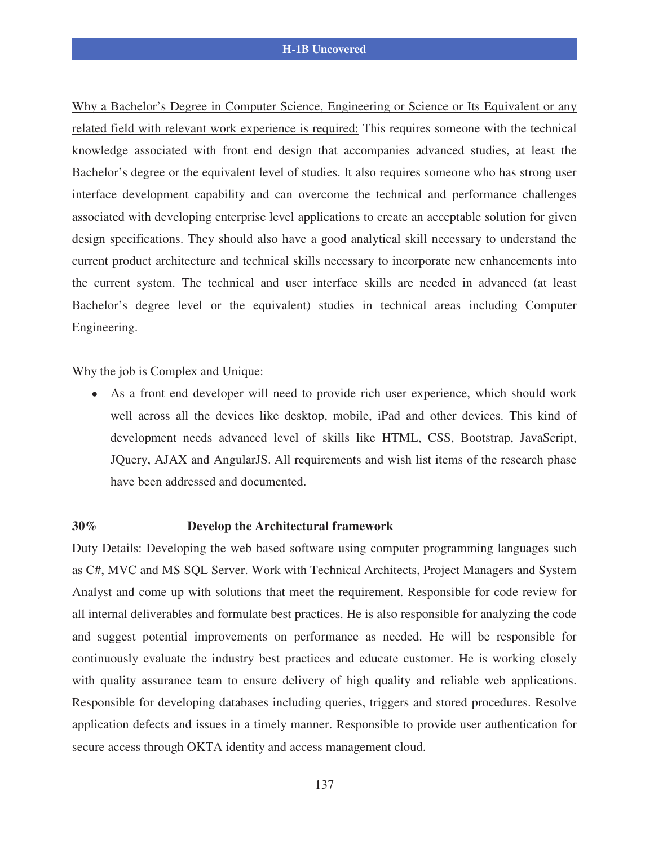Why a Bachelor's Degree in Computer Science, Engineering or Science or Its Equivalent or any related field with relevant work experience is required: This requires someone with the technical knowledge associated with front end design that accompanies advanced studies, at least the Bachelor's degree or the equivalent level of studies. It also requires someone who has strong user interface development capability and can overcome the technical and performance challenges associated with developing enterprise level applications to create an acceptable solution for given design specifications. They should also have a good analytical skill necessary to understand the current product architecture and technical skills necessary to incorporate new enhancements into the current system. The technical and user interface skills are needed in advanced (at least Bachelor's degree level or the equivalent) studies in technical areas including Computer Engineering.

#### Why the job is Complex and Unique:

 As a front end developer will need to provide rich user experience, which should work well across all the devices like desktop, mobile, iPad and other devices. This kind of development needs advanced level of skills like HTML, CSS, Bootstrap, JavaScript, JQuery, AJAX and AngularJS. All requirements and wish list items of the research phase have been addressed and documented.

#### **30% Develop the Architectural framework**

Duty Details: Developing the web based software using computer programming languages such as C#, MVC and MS SQL Server. Work with Technical Architects, Project Managers and System Analyst and come up with solutions that meet the requirement. Responsible for code review for all internal deliverables and formulate best practices. He is also responsible for analyzing the code and suggest potential improvements on performance as needed. He will be responsible for continuously evaluate the industry best practices and educate customer. He is working closely with quality assurance team to ensure delivery of high quality and reliable web applications. Responsible for developing databases including queries, triggers and stored procedures. Resolve application defects and issues in a timely manner. Responsible to provide user authentication for secure access through OKTA identity and access management cloud.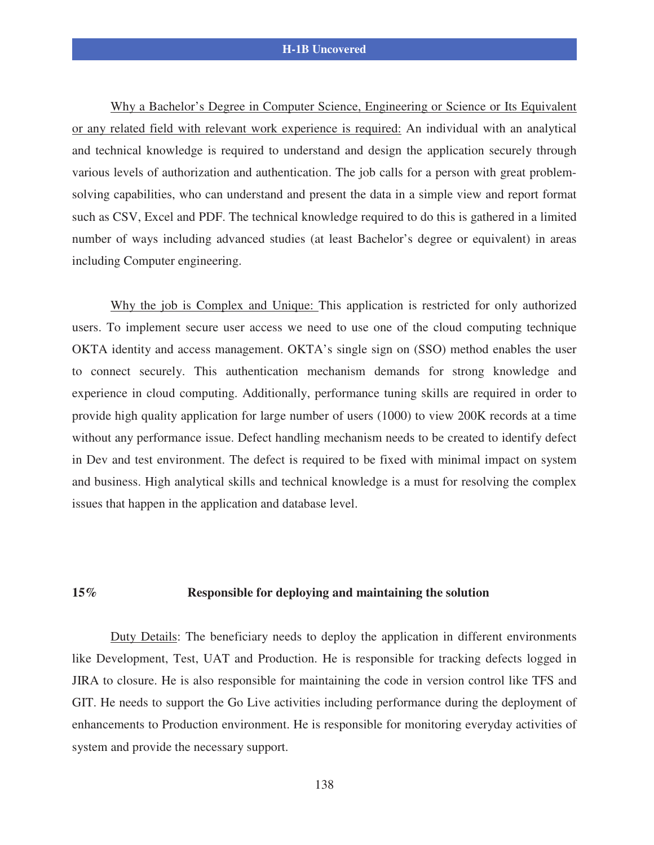Why a Bachelor's Degree in Computer Science, Engineering or Science or Its Equivalent or any related field with relevant work experience is required: An individual with an analytical and technical knowledge is required to understand and design the application securely through various levels of authorization and authentication. The job calls for a person with great problemsolving capabilities, who can understand and present the data in a simple view and report format such as CSV, Excel and PDF. The technical knowledge required to do this is gathered in a limited number of ways including advanced studies (at least Bachelor's degree or equivalent) in areas including Computer engineering.

Why the job is Complex and Unique: This application is restricted for only authorized users. To implement secure user access we need to use one of the cloud computing technique OKTA identity and access management. OKTA's single sign on (SSO) method enables the user to connect securely. This authentication mechanism demands for strong knowledge and experience in cloud computing. Additionally, performance tuning skills are required in order to provide high quality application for large number of users (1000) to view 200K records at a time without any performance issue. Defect handling mechanism needs to be created to identify defect in Dev and test environment. The defect is required to be fixed with minimal impact on system and business. High analytical skills and technical knowledge is a must for resolving the complex issues that happen in the application and database level.

#### **15% Responsible for deploying and maintaining the solution**

Duty Details: The beneficiary needs to deploy the application in different environments like Development, Test, UAT and Production. He is responsible for tracking defects logged in JIRA to closure. He is also responsible for maintaining the code in version control like TFS and GIT. He needs to support the Go Live activities including performance during the deployment of enhancements to Production environment. He is responsible for monitoring everyday activities of system and provide the necessary support.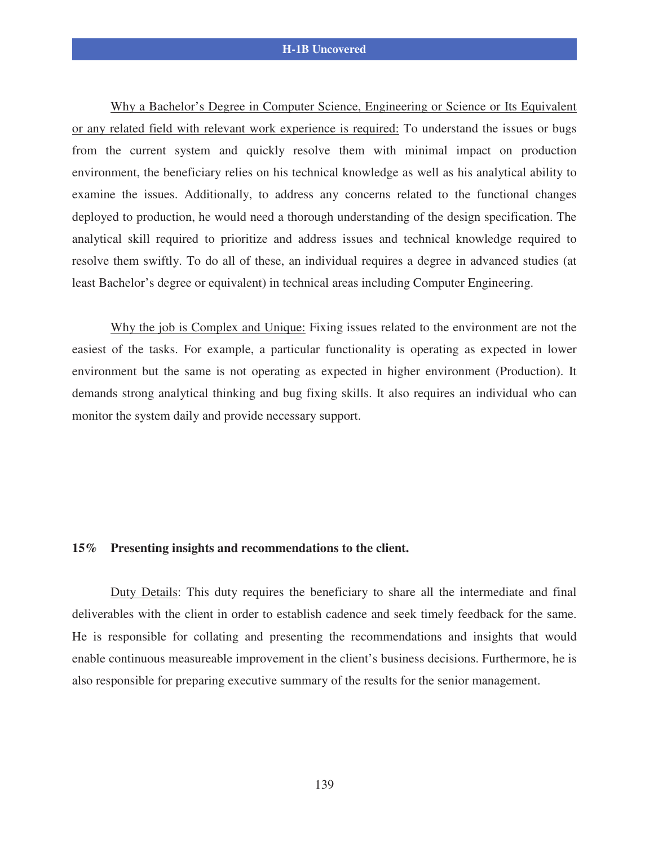Why a Bachelor's Degree in Computer Science, Engineering or Science or Its Equivalent or any related field with relevant work experience is required: To understand the issues or bugs from the current system and quickly resolve them with minimal impact on production environment, the beneficiary relies on his technical knowledge as well as his analytical ability to examine the issues. Additionally, to address any concerns related to the functional changes deployed to production, he would need a thorough understanding of the design specification. The analytical skill required to prioritize and address issues and technical knowledge required to resolve them swiftly. To do all of these, an individual requires a degree in advanced studies (at least Bachelor's degree or equivalent) in technical areas including Computer Engineering.

Why the job is Complex and Unique: Fixing issues related to the environment are not the easiest of the tasks. For example, a particular functionality is operating as expected in lower environment but the same is not operating as expected in higher environment (Production). It demands strong analytical thinking and bug fixing skills. It also requires an individual who can monitor the system daily and provide necessary support.

#### **15% Presenting insights and recommendations to the client.**

Duty Details: This duty requires the beneficiary to share all the intermediate and final deliverables with the client in order to establish cadence and seek timely feedback for the same. He is responsible for collating and presenting the recommendations and insights that would enable continuous measureable improvement in the client's business decisions. Furthermore, he is also responsible for preparing executive summary of the results for the senior management.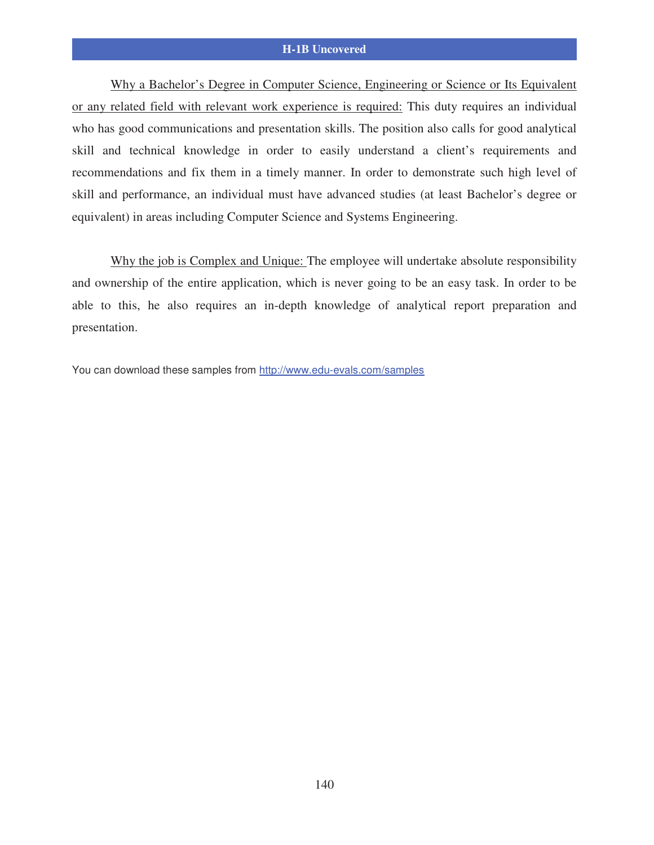Why a Bachelor's Degree in Computer Science, Engineering or Science or Its Equivalent or any related field with relevant work experience is required: This duty requires an individual who has good communications and presentation skills. The position also calls for good analytical skill and technical knowledge in order to easily understand a client's requirements and recommendations and fix them in a timely manner. In order to demonstrate such high level of skill and performance, an individual must have advanced studies (at least Bachelor's degree or equivalent) in areas including Computer Science and Systems Engineering.

Why the job is Complex and Unique: The employee will undertake absolute responsibility and ownership of the entire application, which is never going to be an easy task. In order to be able to this, he also requires an in-depth knowledge of analytical report preparation and presentation.

You can download these samples from http://www.edu-evals.com/samples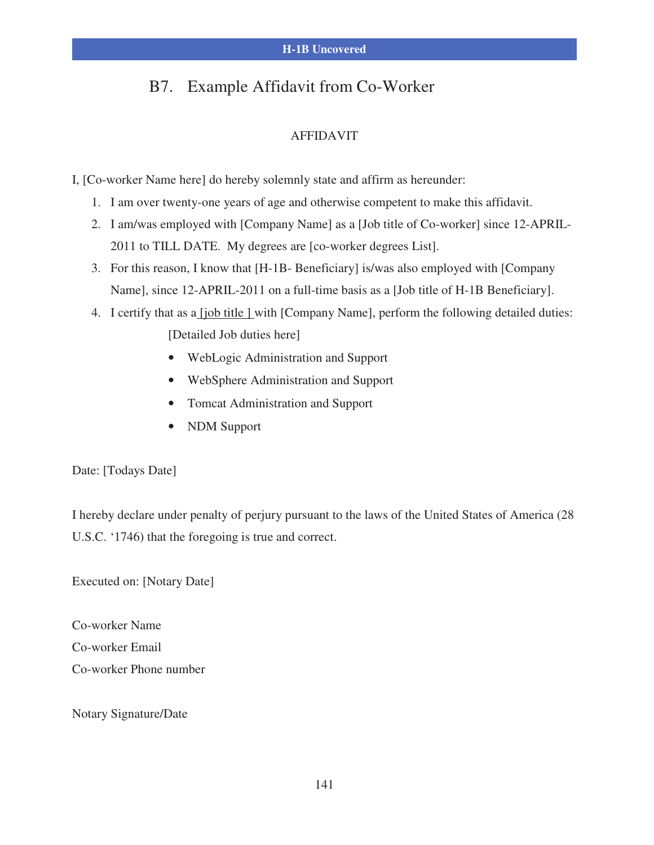### B7. Example Affidavit from Co-Worker

### AFFIDAVIT

I, [Co-worker Name here] do hereby solemnly state and affirm as hereunder:

- 1. I am over twenty-one years of age and otherwise competent to make this affidavit.
- 2. I am/was employed with [Company Name] as a [Job title of Co-worker] since 12-APRIL-2011 to TILL DATE. My degrees are [co-worker degrees List].
- 3. For this reason, I know that [H-1B- Beneficiary] is/was also employed with [Company Name], since 12-APRIL-2011 on a full-time basis as a [Job title of H-1B Beneficiary].
- 4. I certify that as a <u>[job title ]</u> with [Company Name], perform the following detailed duties: [Detailed Job duties here]
	- WebLogic Administration and Support
	- WebSphere Administration and Support
	- Tomcat Administration and Support
	- NDM Support

#### Date: [Todays Date]

I hereby declare under penalty of perjury pursuant to the laws of the United States of America (28 U.S.C. '1746) that the foregoing is true and correct.

Executed on: [Notary Date]

Co-worker Name Co-worker Email Co-worker Phone number

Notary Signature/Date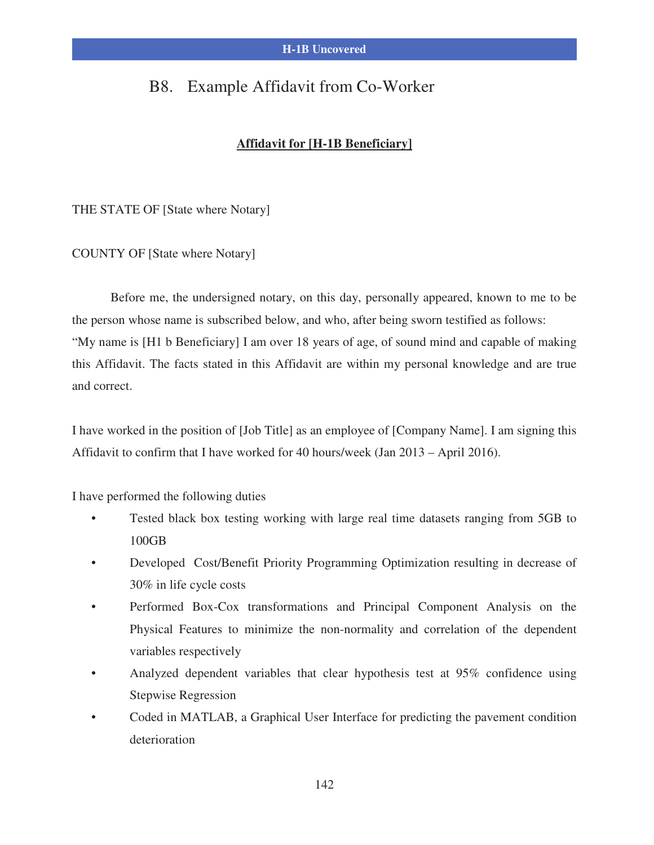### B8. Example Affidavit from Co-Worker

#### **Affidavit for [H-1B Beneficiary]**

THE STATE OF [State where Notary]

COUNTY OF [State where Notary]

 Before me, the undersigned notary, on this day, personally appeared, known to me to be the person whose name is subscribed below, and who, after being sworn testified as follows: "My name is [H1 b Beneficiary] I am over 18 years of age, of sound mind and capable of making this Affidavit. The facts stated in this Affidavit are within my personal knowledge and are true and correct.

I have worked in the position of [Job Title] as an employee of [Company Name]. I am signing this Affidavit to confirm that I have worked for 40 hours/week (Jan 2013 – April 2016).

I have performed the following duties

- Tested black box testing working with large real time datasets ranging from 5GB to 100GB
- Developed Cost/Benefit Priority Programming Optimization resulting in decrease of 30% in life cycle costs
- Performed Box-Cox transformations and Principal Component Analysis on the Physical Features to minimize the non-normality and correlation of the dependent variables respectively
- Analyzed dependent variables that clear hypothesis test at 95% confidence using Stepwise Regression
- Coded in MATLAB, a Graphical User Interface for predicting the pavement condition deterioration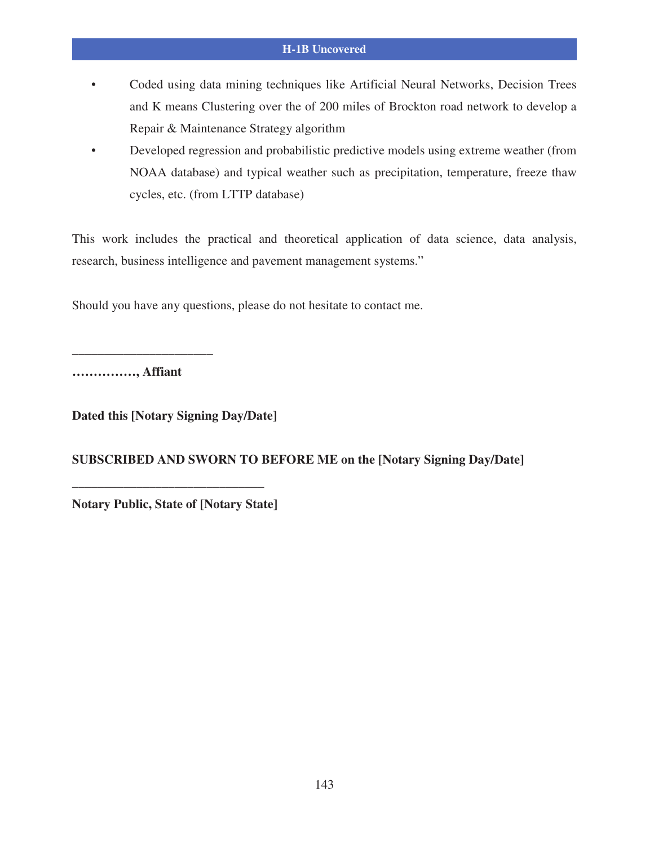- Coded using data mining techniques like Artificial Neural Networks, Decision Trees and K means Clustering over the of 200 miles of Brockton road network to develop a Repair & Maintenance Strategy algorithm
- Developed regression and probabilistic predictive models using extreme weather (from NOAA database) and typical weather such as precipitation, temperature, freeze thaw cycles, etc. (from LTTP database)

This work includes the practical and theoretical application of data science, data analysis, research, business intelligence and pavement management systems."

Should you have any questions, please do not hesitate to contact me.

**……………, Affiant** 

**\_\_\_\_\_\_\_\_\_\_\_\_\_\_\_\_\_\_\_\_\_\_** 

**Dated this [Notary Signing Day/Date]** 

**SUBSCRIBED AND SWORN TO BEFORE ME on the [Notary Signing Day/Date]** 

**Notary Public, State of [Notary State]** 

**\_\_\_\_\_\_\_\_\_\_\_\_\_\_\_\_\_\_\_\_\_\_\_\_\_\_\_\_\_\_**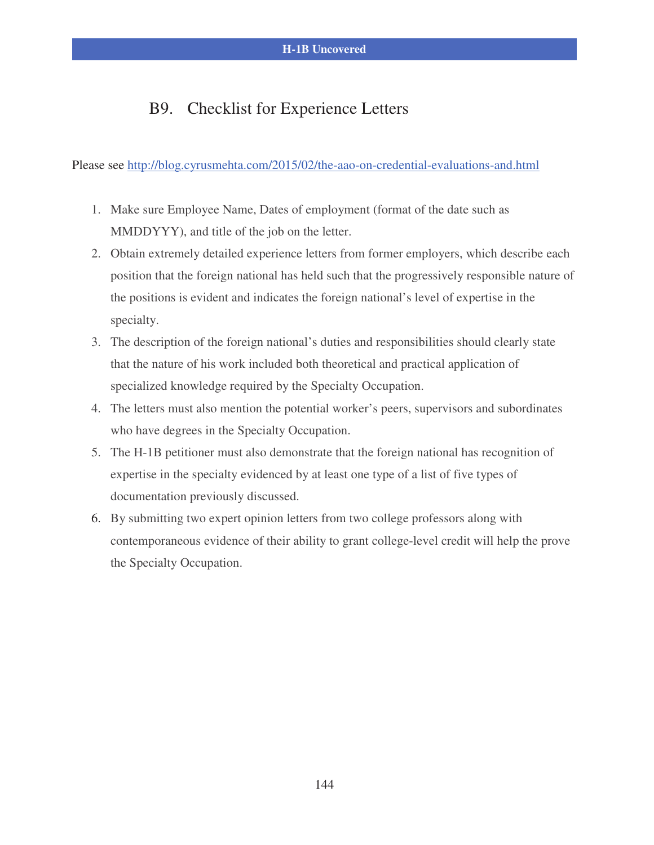### B9. Checklist for Experience Letters

Please see http://blog.cyrusmehta.com/2015/02/the-aao-on-credential-evaluations-and.html

- 1. Make sure Employee Name, Dates of employment (format of the date such as MMDDYYY), and title of the job on the letter.
- 2. Obtain extremely detailed experience letters from former employers, which describe each position that the foreign national has held such that the progressively responsible nature of the positions is evident and indicates the foreign national's level of expertise in the specialty.
- 3. The description of the foreign national's duties and responsibilities should clearly state that the nature of his work included both theoretical and practical application of specialized knowledge required by the Specialty Occupation.
- 4. The letters must also mention the potential worker's peers, supervisors and subordinates who have degrees in the Specialty Occupation.
- 5. The H-1B petitioner must also demonstrate that the foreign national has recognition of expertise in the specialty evidenced by at least one type of a list of five types of documentation previously discussed.
- 6. By submitting two expert opinion letters from two college professors along with contemporaneous evidence of their ability to grant college-level credit will help the prove the Specialty Occupation.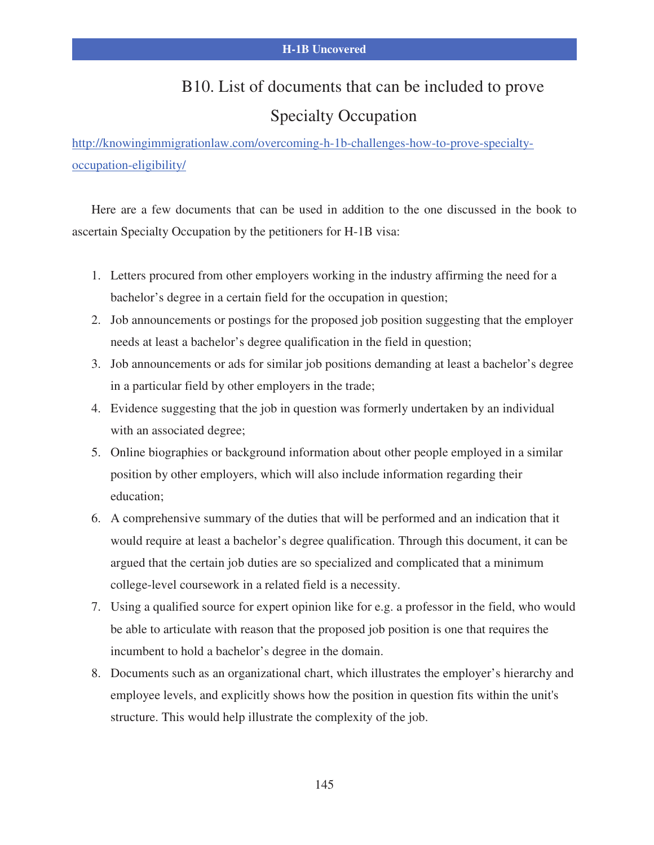### B10. List of documents that can be included to prove

### Specialty Occupation

http://knowingimmigrationlaw.com/overcoming-h-1b-challenges-how-to-prove-specialtyoccupation-eligibility/

Here are a few documents that can be used in addition to the one discussed in the book to ascertain Specialty Occupation by the petitioners for H-1B visa:

- 1. Letters procured from other employers working in the industry affirming the need for a bachelor's degree in a certain field for the occupation in question;
- 2. Job announcements or postings for the proposed job position suggesting that the employer needs at least a bachelor's degree qualification in the field in question;
- 3. Job announcements or ads for similar job positions demanding at least a bachelor's degree in a particular field by other employers in the trade;
- 4. Evidence suggesting that the job in question was formerly undertaken by an individual with an associated degree;
- 5. Online biographies or background information about other people employed in a similar position by other employers, which will also include information regarding their education;
- 6. A comprehensive summary of the duties that will be performed and an indication that it would require at least a bachelor's degree qualification. Through this document, it can be argued that the certain job duties are so specialized and complicated that a minimum college-level coursework in a related field is a necessity.
- 7. Using a qualified source for expert opinion like for e.g. a professor in the field, who would be able to articulate with reason that the proposed job position is one that requires the incumbent to hold a bachelor's degree in the domain.
- 8. Documents such as an organizational chart, which illustrates the employer's hierarchy and employee levels, and explicitly shows how the position in question fits within the unit's structure. This would help illustrate the complexity of the job.